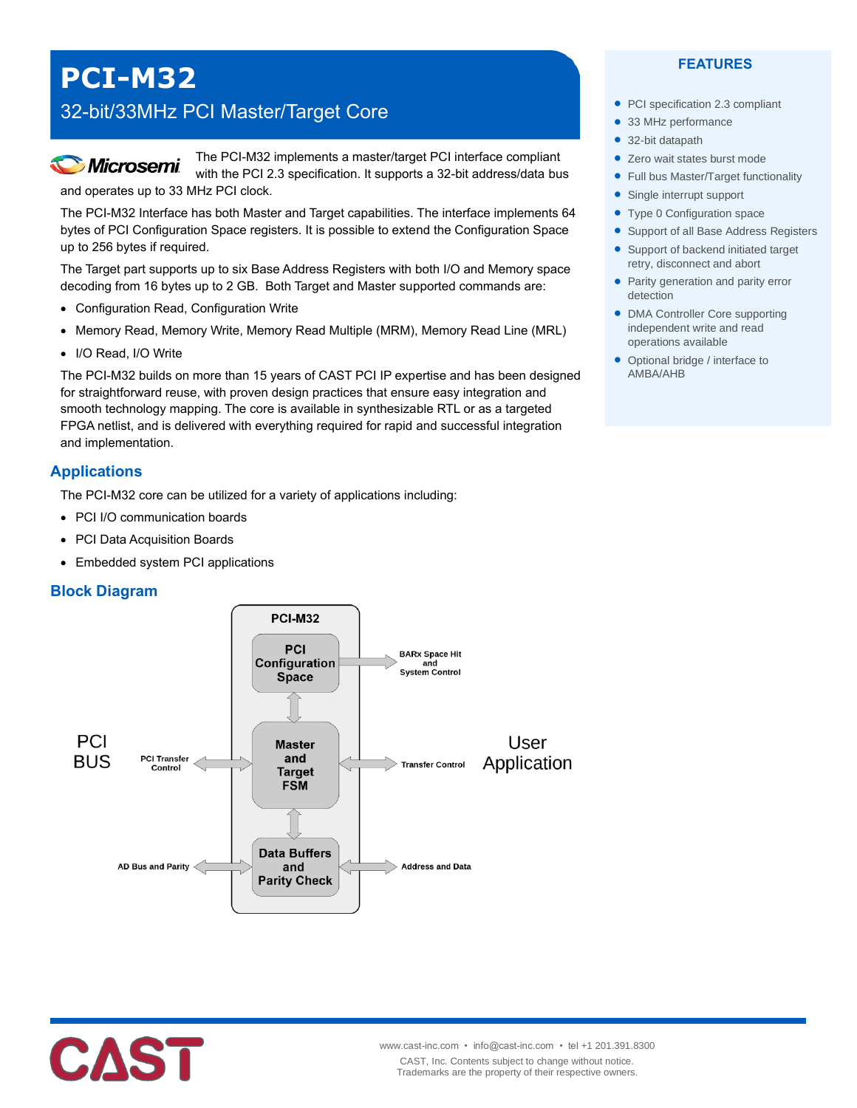# **PCI-M32**

# 32-bit/33MHz PCI Master/Target Core



The PCI-M32 implements a master/target PCI interface compliant with the PCI 2.3 specification. It supports a 32-bit address/data bus and operates up to 33 MHz PCI clock.

The PCI-M32 Interface has both Master and Target capabilities. The interface implements 64 bytes of PCI Configuration Space registers. It is possible to extend the Configuration Space up to 256 bytes if required.

The Target part supports up to six Base Address Registers with both I/O and Memory space decoding from 16 bytes up to 2 GB. Both Target and Master supported commands are:

- Configuration Read, Configuration Write
- Memory Read, Memory Write, Memory Read Multiple (MRM), Memory Read Line (MRL)
- I/O Read, I/O Write

The PCI-M32 builds on more than 15 years of CAST PCI IP expertise and has been designed for straightforward reuse, with proven design practices that ensure easy integration and smooth technology mapping. The core is available in synthesizable RTL or as a targeted FPGA netlist, and is delivered with everything required for rapid and successful integration and implementation.

### **Applications**

The PCI-M32 core can be utilized for a variety of applications including:

- PCI I/O communication boards
- PCI Data Acquisition Boards
- Embedded system PCI applications

#### **Block Diagram**





#### **FEATURES**

- PCI specification 2.3 compliant
- 33 MHz performance
- 32-bit datapath
- Zero wait states burst mode
- Full bus Master/Target functionality
- Single interrupt support
- Type 0 Configuration space
- **Support of all Base Address Registers**
- Support of backend initiated target retry, disconnect and abort
- Parity generation and parity error detection
- DMA Controller Core supporting independent write and read operations available
- Optional bridge / interface to AMBA/AHB